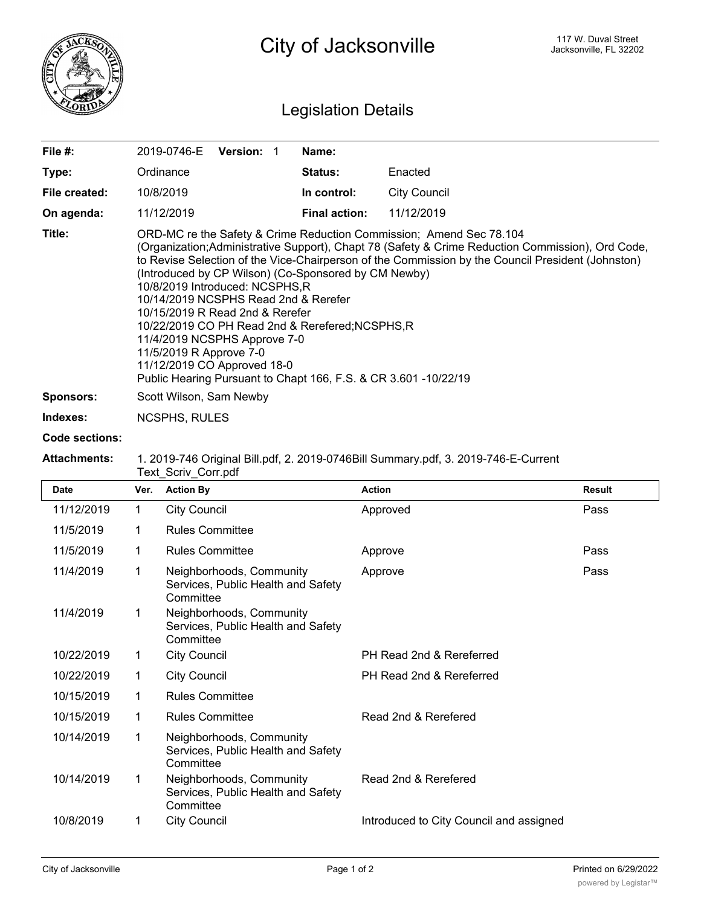

## Legislation Details

| File #:          | <b>Version: 1</b><br>2019-0746-E                                                                                                                                                                                                                                                                                                                                                                                                                                                                                                                                                                                                                                    | Name:                |              |  |  |
|------------------|---------------------------------------------------------------------------------------------------------------------------------------------------------------------------------------------------------------------------------------------------------------------------------------------------------------------------------------------------------------------------------------------------------------------------------------------------------------------------------------------------------------------------------------------------------------------------------------------------------------------------------------------------------------------|----------------------|--------------|--|--|
| Type:            | Ordinance                                                                                                                                                                                                                                                                                                                                                                                                                                                                                                                                                                                                                                                           | <b>Status:</b>       | Enacted      |  |  |
| File created:    | 10/8/2019                                                                                                                                                                                                                                                                                                                                                                                                                                                                                                                                                                                                                                                           | In control:          | City Council |  |  |
| On agenda:       | 11/12/2019                                                                                                                                                                                                                                                                                                                                                                                                                                                                                                                                                                                                                                                          | <b>Final action:</b> | 11/12/2019   |  |  |
| Title:           | ORD-MC re the Safety & Crime Reduction Commission; Amend Sec 78.104<br>(Organization; Administrative Support), Chapt 78 (Safety & Crime Reduction Commission), Ord Code,<br>to Revise Selection of the Vice-Chairperson of the Commission by the Council President (Johnston)<br>(Introduced by CP Wilson) (Co-Sponsored by CM Newby)<br>10/8/2019 Introduced: NCSPHS,R<br>10/14/2019 NCSPHS Read 2nd & Rerefer<br>10/15/2019 R Read 2nd & Rerefer<br>10/22/2019 CO PH Read 2nd & Rerefered; NCSPHS, R<br>11/4/2019 NCSPHS Approve 7-0<br>11/5/2019 R Approve 7-0<br>11/12/2019 CO Approved 18-0<br>Public Hearing Pursuant to Chapt 166, F.S. & CR 3.601 -10/22/19 |                      |              |  |  |
| <b>Sponsors:</b> | Scott Wilson, Sam Newby                                                                                                                                                                                                                                                                                                                                                                                                                                                                                                                                                                                                                                             |                      |              |  |  |

**Indexes:** NCSPHS, RULES

## **Code sections:**

## **Attachments:** 1. 2019-746 Original Bill.pdf, 2. 2019-0746Bill Summary.pdf, 3. 2019-746-E-Current Text\_Scriv\_Corr.pdf

| Date       | Ver.        | <b>Action By</b>                                                            | <b>Action</b>                           | <b>Result</b> |
|------------|-------------|-----------------------------------------------------------------------------|-----------------------------------------|---------------|
| 11/12/2019 | $\mathbf 1$ | <b>City Council</b>                                                         | Approved                                | Pass          |
| 11/5/2019  | 1           | <b>Rules Committee</b>                                                      |                                         |               |
| 11/5/2019  | 1           | <b>Rules Committee</b>                                                      | Approve                                 | Pass          |
| 11/4/2019  | 1           | Neighborhoods, Community<br>Services, Public Health and Safety<br>Committee | Approve                                 | Pass          |
| 11/4/2019  | 1           | Neighborhoods, Community<br>Services, Public Health and Safety<br>Committee |                                         |               |
| 10/22/2019 | 1           | <b>City Council</b>                                                         | PH Read 2nd & Rereferred                |               |
| 10/22/2019 | 1           | <b>City Council</b>                                                         | PH Read 2nd & Rereferred                |               |
| 10/15/2019 | 1           | <b>Rules Committee</b>                                                      |                                         |               |
| 10/15/2019 | 1           | <b>Rules Committee</b>                                                      | Read 2nd & Rerefered                    |               |
| 10/14/2019 | 1           | Neighborhoods, Community<br>Services, Public Health and Safety<br>Committee |                                         |               |
| 10/14/2019 | 1           | Neighborhoods, Community<br>Services, Public Health and Safety<br>Committee | Read 2nd & Rerefered                    |               |
| 10/8/2019  | 1           | <b>City Council</b>                                                         | Introduced to City Council and assigned |               |